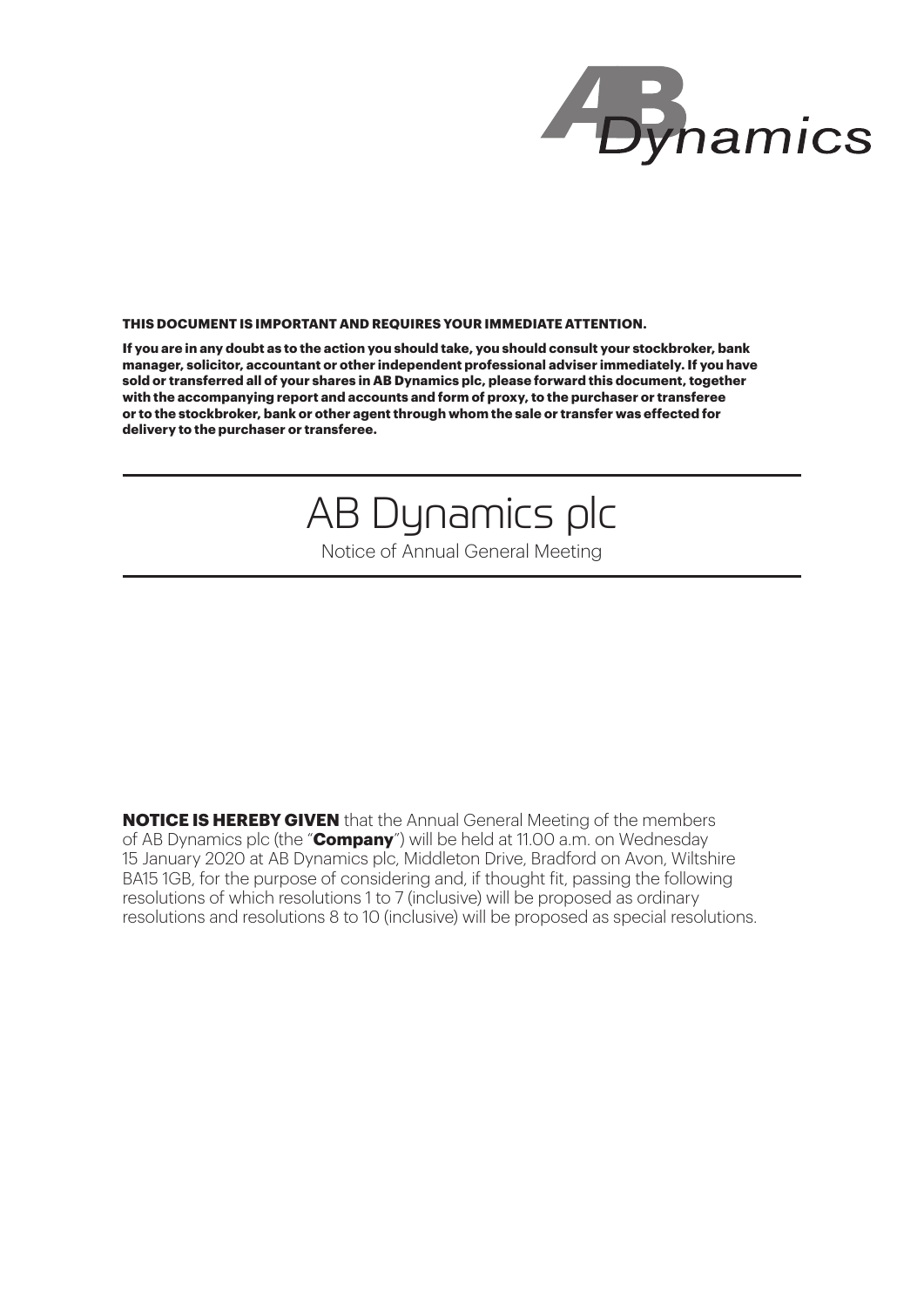

#### **THIS DOCUMENT IS IMPORTANT AND REQUIRES YOUR IMMEDIATE ATTENTION.**

**If you are in any doubt as to the action you should take, you should consult your stockbroker, bank manager, solicitor, accountant or other independent professional adviser immediately. If you have sold or transferred all of your shares in AB Dynamics plc, please forward this document, together with the accompanying report and accounts and form of proxy, to the purchaser or transferee or to the stockbroker, bank or other agent through whom the sale or transfer was effected for delivery to the purchaser or transferee.**

# AB Dynamics plc

Notice of Annual General Meeting

**NOTICE IS HEREBY GIVEN** that the Annual General Meeting of the members of AB Dynamics plc (the "**Company**") will be held at 11.00 a.m. on Wednesday 15 January 2020 at AB Dynamics plc, Middleton Drive, Bradford on Avon, Wiltshire BA15 1GB, for the purpose of considering and, if thought fit, passing the following resolutions of which resolutions 1 to 7 (inclusive) will be proposed as ordinary resolutions and resolutions 8 to 10 (inclusive) will be proposed as special resolutions.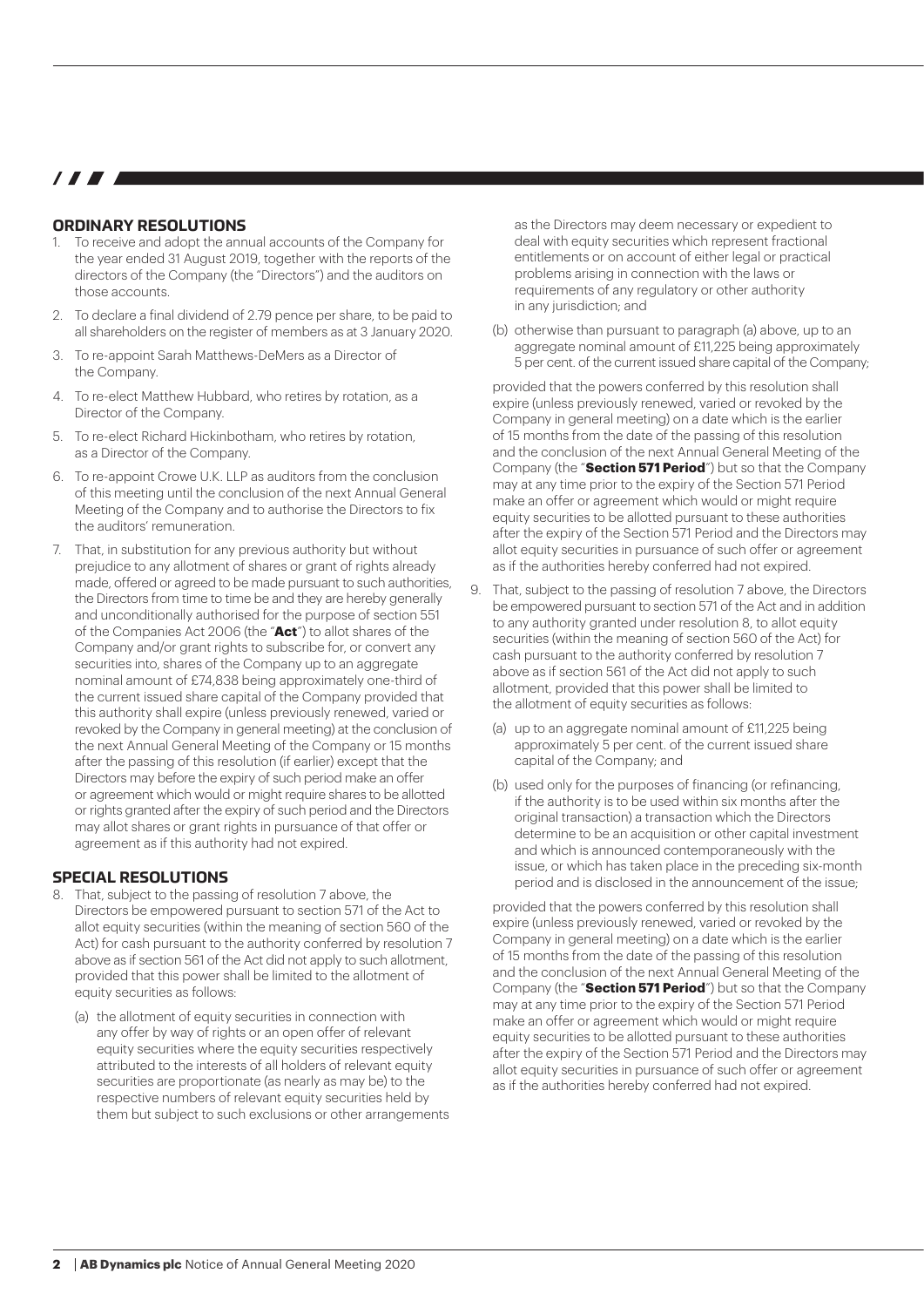# $\sqrt{I}$

## **ORDINARY RESOLUTIONS**

- To receive and adopt the annual accounts of the Company for the year ended 31 August 2019, together with the reports of the directors of the Company (the "Directors") and the auditors on those accounts.
- 2. To declare a final dividend of 2.79 pence per share, to be paid to all shareholders on the register of members as at 3 January 2020.
- 3. To re-appoint Sarah Matthews-DeMers as a Director of the Company.
- 4. To re-elect Matthew Hubbard, who retires by rotation, as a Director of the Company.
- 5. To re-elect Richard Hickinbotham, who retires by rotation, as a Director of the Company.
- 6. To re-appoint Crowe U.K. LLP as auditors from the conclusion of this meeting until the conclusion of the next Annual General Meeting of the Company and to authorise the Directors to fix the auditors' remuneration.
- 7. That, in substitution for any previous authority but without prejudice to any allotment of shares or grant of rights already made, offered or agreed to be made pursuant to such authorities, the Directors from time to time be and they are hereby generally and unconditionally authorised for the purpose of section 551 of the Companies Act 2006 (the "**Act**") to allot shares of the Company and/or grant rights to subscribe for, or convert any securities into, shares of the Company up to an aggregate nominal amount of £74,838 being approximately one-third of the current issued share capital of the Company provided that this authority shall expire (unless previously renewed, varied or revoked by the Company in general meeting) at the conclusion of the next Annual General Meeting of the Company or 15 months after the passing of this resolution (if earlier) except that the Directors may before the expiry of such period make an offer or agreement which would or might require shares to be allotted or rights granted after the expiry of such period and the Directors may allot shares or grant rights in pursuance of that offer or agreement as if this authority had not expired.

## **SPECIAL RESOLUTIONS**

- 8. That, subject to the passing of resolution 7 above, the Directors be empowered pursuant to section 571 of the Act to allot equity securities (within the meaning of section 560 of the Act) for cash pursuant to the authority conferred by resolution 7 above as if section 561 of the Act did not apply to such allotment, provided that this power shall be limited to the allotment of equity securities as follows:
	- (a) the allotment of equity securities in connection with any offer by way of rights or an open offer of relevant equity securities where the equity securities respectively attributed to the interests of all holders of relevant equity securities are proportionate (as nearly as may be) to the respective numbers of relevant equity securities held by them but subject to such exclusions or other arrangements

as the Directors may deem necessary or expedient to deal with equity securities which represent fractional entitlements or on account of either legal or practical problems arising in connection with the laws or requirements of any regulatory or other authority in any jurisdiction; and

(b) otherwise than pursuant to paragraph (a) above, up to an aggregate nominal amount of £11,225 being approximately 5 per cent. of the current issued share capital of the Company;

 provided that the powers conferred by this resolution shall expire (unless previously renewed, varied or revoked by the Company in general meeting) on a date which is the earlier of 15 months from the date of the passing of this resolution and the conclusion of the next Annual General Meeting of the Company (the "**Section 571 Period**") but so that the Company may at any time prior to the expiry of the Section 571 Period make an offer or agreement which would or might require equity securities to be allotted pursuant to these authorities after the expiry of the Section 571 Period and the Directors may allot equity securities in pursuance of such offer or agreement as if the authorities hereby conferred had not expired.

- 9. That, subject to the passing of resolution 7 above, the Directors be empowered pursuant to section 571 of the Act and in addition to any authority granted under resolution 8, to allot equity securities (within the meaning of section 560 of the Act) for cash pursuant to the authority conferred by resolution 7 above as if section 561 of the Act did not apply to such allotment, provided that this power shall be limited to the allotment of equity securities as follows:
	- (a) up to an aggregate nominal amount of £11,225 being approximately 5 per cent. of the current issued share capital of the Company; and
	- (b) used only for the purposes of financing (or refinancing, if the authority is to be used within six months after the original transaction) a transaction which the Directors determine to be an acquisition or other capital investment and which is announced contemporaneously with the issue, or which has taken place in the preceding six-month period and is disclosed in the announcement of the issue;

 provided that the powers conferred by this resolution shall expire (unless previously renewed, varied or revoked by the Company in general meeting) on a date which is the earlier of 15 months from the date of the passing of this resolution and the conclusion of the next Annual General Meeting of the Company (the "**Section 571 Period**") but so that the Company may at any time prior to the expiry of the Section 571 Period make an offer or agreement which would or might require equity securities to be allotted pursuant to these authorities after the expiry of the Section 571 Period and the Directors may allot equity securities in pursuance of such offer or agreement as if the authorities hereby conferred had not expired.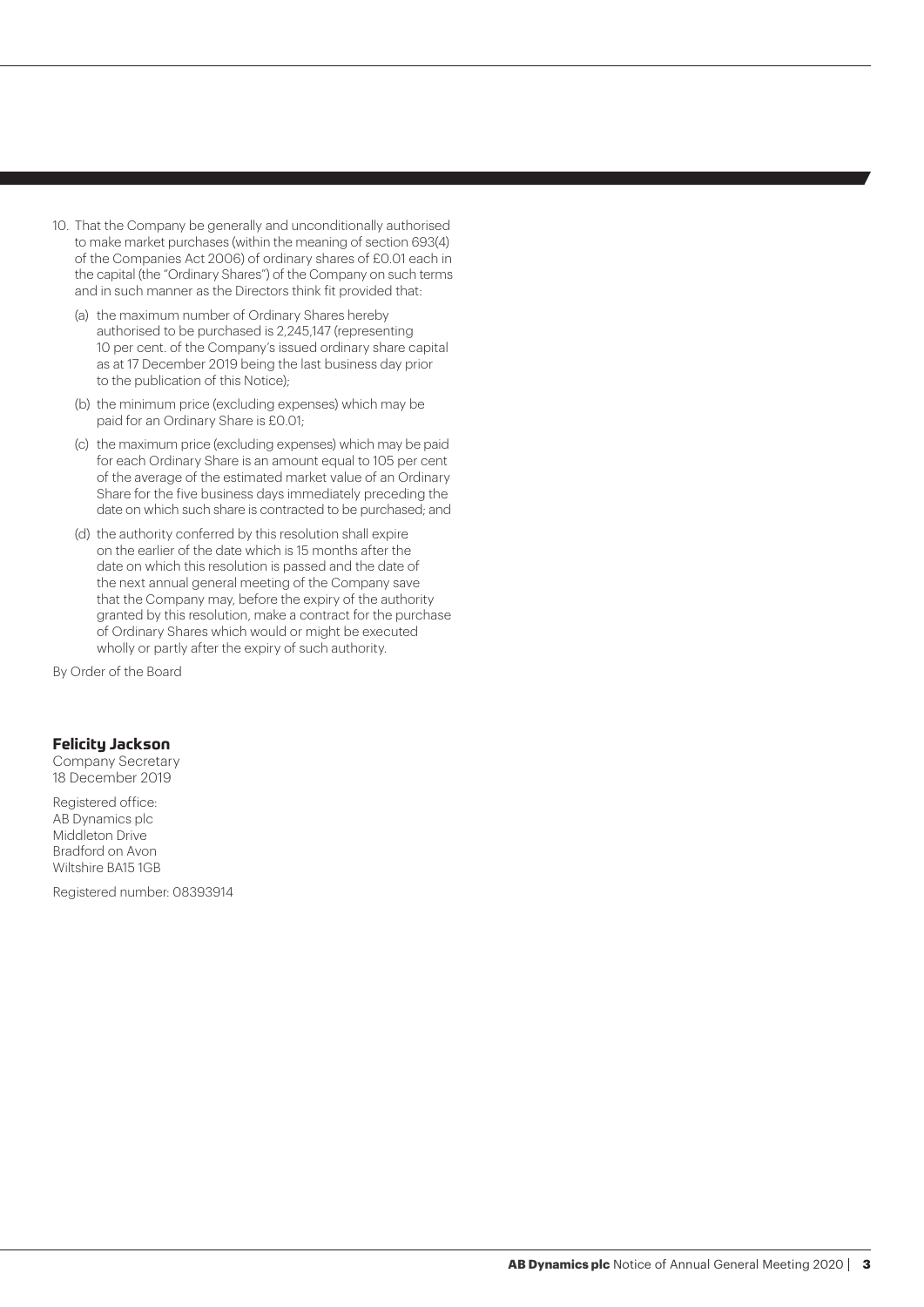- 10. That the Company be generally and unconditionally authorised to make market purchases (within the meaning of section 693(4) of the Companies Act 2006) of ordinary shares of £0.01 each in the capital (the "Ordinary Shares") of the Company on such terms and in such manner as the Directors think fit provided that:
	- (a) the maximum number of Ordinary Shares hereby authorised to be purchased is 2,245,147 (representing 10 per cent. of the Company's issued ordinary share capital as at 17 December 2019 being the last business day prior to the publication of this Notice);
	- (b) the minimum price (excluding expenses) which may be paid for an Ordinary Share is £0.01;
	- (c) the maximum price (excluding expenses) which may be paid for each Ordinary Share is an amount equal to 105 per cent of the average of the estimated market value of an Ordinary Share for the five business days immediately preceding the date on which such share is contracted to be purchased; and
	- (d) the authority conferred by this resolution shall expire on the earlier of the date which is 15 months after the date on which this resolution is passed and the date of the next annual general meeting of the Company save that the Company may, before the expiry of the authority granted by this resolution, make a contract for the purchase of Ordinary Shares which would or might be executed wholly or partly after the expiry of such authority.

By Order of the Board

### **Felicity Jackson**

Company Secretary 18 December 2019

Registered office: AB Dynamics plc Middleton Drive Bradford on Avon Wiltshire BA15 1GB

Registered number: 08393914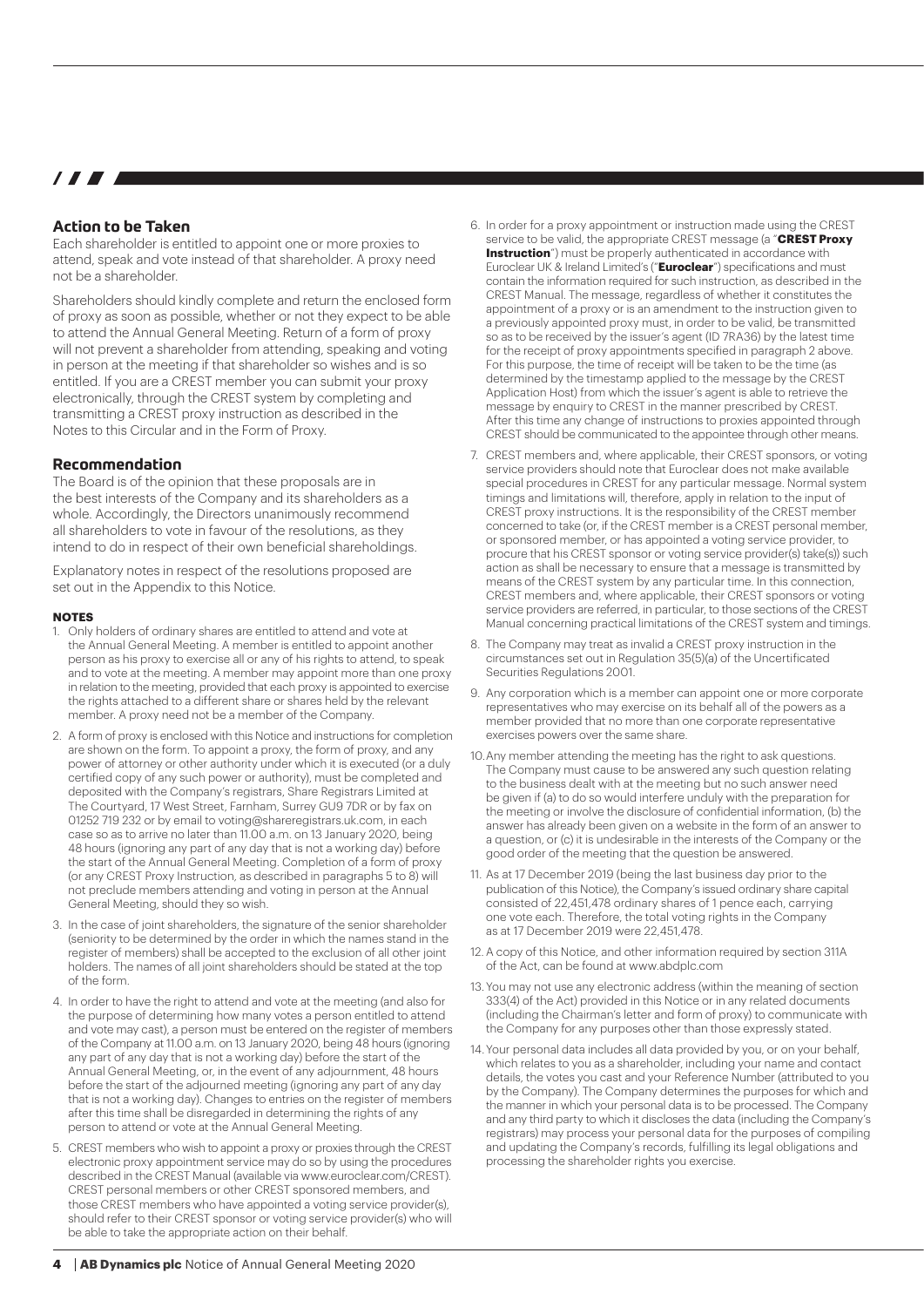# $\sqrt{I}$

## **Action to be Taken**

Each shareholder is entitled to appoint one or more proxies to attend, speak and vote instead of that shareholder. A proxy need not be a shareholder.

Shareholders should kindly complete and return the enclosed form of proxy as soon as possible, whether or not they expect to be able to attend the Annual General Meeting. Return of a form of proxy will not prevent a shareholder from attending, speaking and voting in person at the meeting if that shareholder so wishes and is so entitled. If you are a CREST member you can submit your proxy electronically, through the CREST system by completing and transmitting a CREST proxy instruction as described in the Notes to this Circular and in the Form of Proxy.

### **Recommendation**

The Board is of the opinion that these proposals are in the best interests of the Company and its shareholders as a whole. Accordingly, the Directors unanimously recommend all shareholders to vote in favour of the resolutions, as they intend to do in respect of their own beneficial shareholdings.

Explanatory notes in respect of the resolutions proposed are set out in the Appendix to this Notice.

#### **NOTES**

- 1. Only holders of ordinary shares are entitled to attend and vote at the Annual General Meeting. A member is entitled to appoint another person as his proxy to exercise all or any of his rights to attend, to speak and to vote at the meeting. A member may appoint more than one proxy in relation to the meeting, provided that each proxy is appointed to exercise the rights attached to a different share or shares held by the relevant member. A proxy need not be a member of the Company.
- 2. A form of proxy is enclosed with this Notice and instructions for completion are shown on the form. To appoint a proxy, the form of proxy, and any power of attorney or other authority under which it is executed (or a duly certified copy of any such power or authority), must be completed and deposited with the Company's registrars, Share Registrars Limited at The Courtyard, 17 West Street, Farnham, Surrey GU9 7DR or by fax on 01252 719 232 or by email to voting@shareregistrars.uk.com, in each case so as to arrive no later than 11.00 a.m. on 13 January 2020, being 48 hours (ignoring any part of any day that is not a working day) before the start of the Annual General Meeting. Completion of a form of proxy (or any CREST Proxy Instruction, as described in paragraphs 5 to 8) will not preclude members attending and voting in person at the Annual General Meeting, should they so wish.
- 3. In the case of joint shareholders, the signature of the senior shareholder (seniority to be determined by the order in which the names stand in the register of members) shall be accepted to the exclusion of all other joint holders. The names of all joint shareholders should be stated at the top of the form.
- 4. In order to have the right to attend and vote at the meeting (and also for the purpose of determining how many votes a person entitled to attend and vote may cast), a person must be entered on the register of members of the Company at 11.00 a.m. on 13 January 2020, being 48 hours (ignoring any part of any day that is not a working day) before the start of the Annual General Meeting, or, in the event of any adjournment, 48 hours before the start of the adjourned meeting (ignoring any part of any day that is not a working day). Changes to entries on the register of members after this time shall be disregarded in determining the rights of any person to attend or vote at the Annual General Meeting.
- 5. CREST members who wish to appoint a proxy or proxies through the CREST electronic proxy appointment service may do so by using the procedures described in the CREST Manual (available via www.euroclear.com/CREST). CREST personal members or other CREST sponsored members, and those CREST members who have appointed a voting service provider(s), should refer to their CREST sponsor or voting service provider(s) who will be able to take the appropriate action on their behalf.
- 6. In order for a proxy appointment or instruction made using the CREST service to be valid, the appropriate CREST message (a "**CREST Proxy Instruction**") must be properly authenticated in accordance with Euroclear UK & Ireland Limited's ("**Euroclear**") specifications and must contain the information required for such instruction, as described in the CREST Manual. The message, regardless of whether it constitutes the appointment of a proxy or is an amendment to the instruction given to a previously appointed proxy must, in order to be valid, be transmitted so as to be received by the issuer's agent (ID 7RA36) by the latest time for the receipt of proxy appointments specified in paragraph 2 above. For this purpose, the time of receipt will be taken to be the time (as determined by the timestamp applied to the message by the CREST Application Host) from which the issuer's agent is able to retrieve the message by enquiry to CREST in the manner prescribed by CREST. After this time any change of instructions to proxies appointed through CREST should be communicated to the appointee through other means.
- 7. CREST members and, where applicable, their CREST sponsors, or voting service providers should note that Euroclear does not make available special procedures in CREST for any particular message. Normal system timings and limitations will, therefore, apply in relation to the input of CREST proxy instructions. It is the responsibility of the CREST member concerned to take (or, if the CREST member is a CREST personal member, or sponsored member, or has appointed a voting service provider, to procure that his CREST sponsor or voting service provider(s) take(s)) such action as shall be necessary to ensure that a message is transmitted by means of the CREST system by any particular time. In this connection, CREST members and, where applicable, their CREST sponsors or voting service providers are referred, in particular, to those sections of the CREST Manual concerning practical limitations of the CREST system and timings.
- 8. The Company may treat as invalid a CREST proxy instruction in the circumstances set out in Regulation 35(5)(a) of the Uncertificated Securities Regulations 2001
- 9. Any corporation which is a member can appoint one or more corporate representatives who may exercise on its behalf all of the powers as a member provided that no more than one corporate representative exercises powers over the same share.
- 10. Any member attending the meeting has the right to ask questions. The Company must cause to be answered any such question relating to the business dealt with at the meeting but no such answer need be given if (a) to do so would interfere unduly with the preparation for the meeting or involve the disclosure of confidential information, (b) the answer has already been given on a website in the form of an answer to a question, or (c) it is undesirable in the interests of the Company or the good order of the meeting that the question be answered.
- 11. As at 17 December 2019 (being the last business day prior to the publication of this Notice), the Company's issued ordinary share capital consisted of 22,451,478 ordinary shares of 1 pence each, carrying one vote each. Therefore, the total voting rights in the Company as at 17 December 2019 were 22,451,478.
- 12. A copy of this Notice, and other information required by section 311A of the Act, can be found at www.abdplc.com
- 13. You may not use any electronic address (within the meaning of section 333(4) of the Act) provided in this Notice or in any related documents (including the Chairman's letter and form of proxy) to communicate with the Company for any purposes other than those expressly stated.
- 14. Your personal data includes all data provided by you, or on your behalf, which relates to you as a shareholder, including your name and contact details, the votes you cast and your Reference Number (attributed to you by the Company). The Company determines the purposes for which and the manner in which your personal data is to be processed. The Company and any third party to which it discloses the data (including the Company's registrars) may process your personal data for the purposes of compiling and updating the Company's records, fulfilling its legal obligations and processing the shareholder rights you exercise.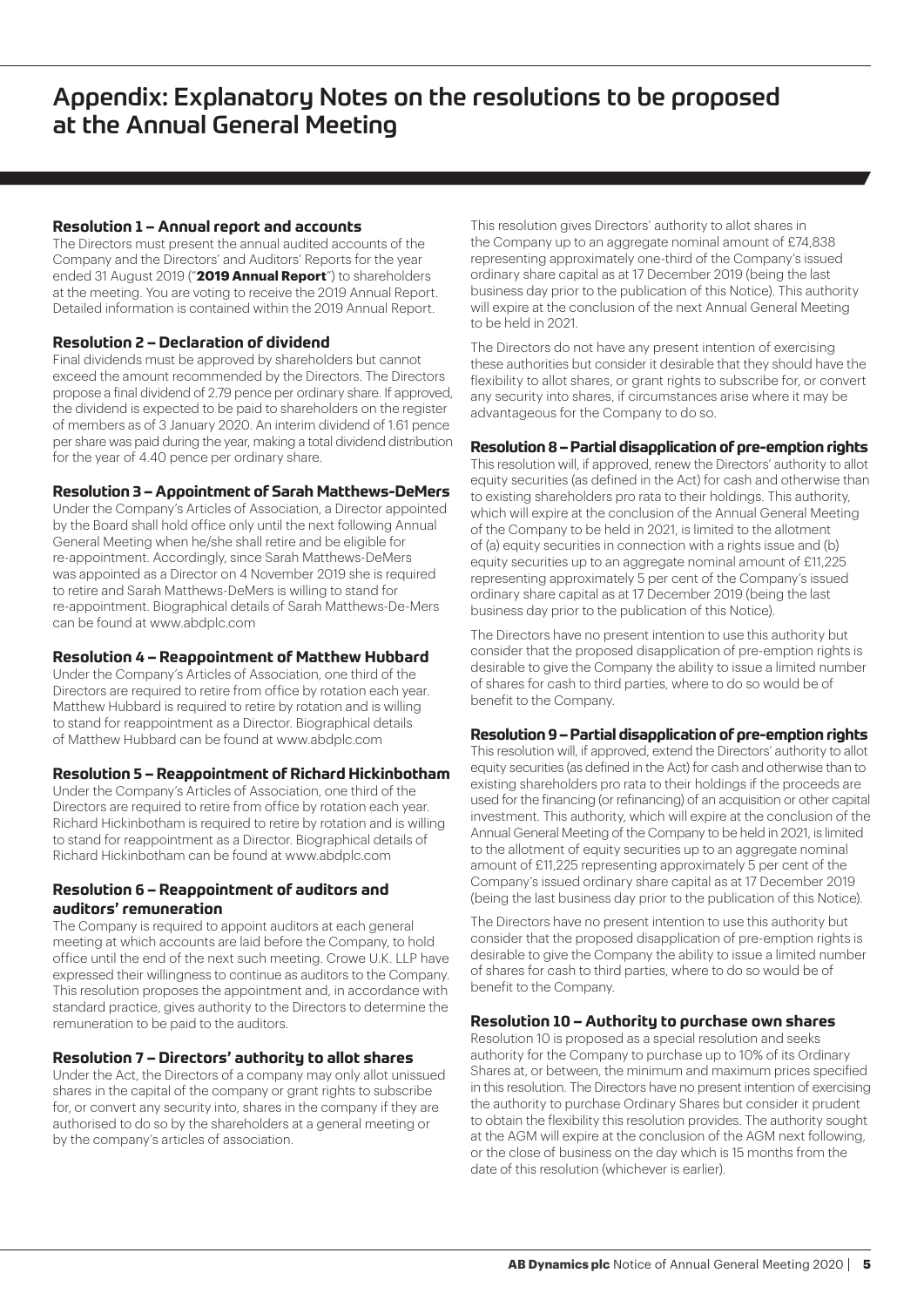# **Resolution 1 – Annual report and accounts**

The Directors must present the annual audited accounts of the Company and the Directors' and Auditors' Reports for the year ended 31 August 2019 ("**2019 Annual Report**") to shareholders at the meeting. You are voting to receive the 2019 Annual Report. Detailed information is contained within the 2019 Annual Report.

# **Resolution 2 – Declaration of dividend**

Final dividends must be approved by shareholders but cannot exceed the amount recommended by the Directors. The Directors propose a final dividend of 2.79 pence per ordinary share. If approved, the dividend is expected to be paid to shareholders on the register of members as of 3 January 2020. An interim dividend of 1.61 pence per share was paid during the year, making a total dividend distribution for the year of 4.40 pence per ordinary share.

## **Resolution 3 – Appointment of Sarah Matthews-DeMers**

Under the Company's Articles of Association, a Director appointed by the Board shall hold office only until the next following Annual General Meeting when he/she shall retire and be eligible for re-appointment. Accordingly, since Sarah Matthews-DeMers was appointed as a Director on 4 November 2019 she is required to retire and Sarah Matthews-DeMers is willing to stand for re-appointment. Biographical details of Sarah Matthews-De-Mers can be found at www.abdplc.com

# **Resolution 4 – Reappointment of Matthew Hubbard**

Under the Company's Articles of Association, one third of the Directors are required to retire from office by rotation each year. Matthew Hubbard is required to retire by rotation and is willing to stand for reappointment as a Director. Biographical details of Matthew Hubbard can be found at www.abdplc.com

# **Resolution 5 – Reappointment of Richard Hickinbotham**

Under the Company's Articles of Association, one third of the Directors are required to retire from office by rotation each year. Richard Hickinbotham is required to retire by rotation and is willing to stand for reappointment as a Director. Biographical details of Richard Hickinbotham can be found at www.abdplc.com

## **Resolution 6 – Reappointment of auditors and auditors' remuneration**

The Company is required to appoint auditors at each general meeting at which accounts are laid before the Company, to hold office until the end of the next such meeting. Crowe U.K. LLP have expressed their willingness to continue as auditors to the Company. This resolution proposes the appointment and, in accordance with standard practice, gives authority to the Directors to determine the remuneration to be paid to the auditors.

# **Resolution 7 – Directors' authority to allot shares**

Under the Act, the Directors of a company may only allot unissued shares in the capital of the company or grant rights to subscribe for, or convert any security into, shares in the company if they are authorised to do so by the shareholders at a general meeting or by the company's articles of association.

This resolution gives Directors' authority to allot shares in the Company up to an aggregate nominal amount of £74,838 representing approximately one-third of the Company's issued ordinary share capital as at 17 December 2019 (being the last business day prior to the publication of this Notice). This authority will expire at the conclusion of the next Annual General Meeting to be held in 2021.

The Directors do not have any present intention of exercising these authorities but consider it desirable that they should have the flexibility to allot shares, or grant rights to subscribe for, or convert any security into shares, if circumstances arise where it may be advantageous for the Company to do so.

# **Resolution 8 – Partial disapplication of pre-emption rights**

This resolution will, if approved, renew the Directors' authority to allot equity securities (as defined in the Act) for cash and otherwise than to existing shareholders pro rata to their holdings. This authority, which will expire at the conclusion of the Annual General Meeting of the Company to be held in 2021, is limited to the allotment of (a) equity securities in connection with a rights issue and (b) equity securities up to an aggregate nominal amount of £11,225 representing approximately 5 per cent of the Company's issued ordinary share capital as at 17 December 2019 (being the last business day prior to the publication of this Notice).

The Directors have no present intention to use this authority but consider that the proposed disapplication of pre-emption rights is desirable to give the Company the ability to issue a limited number of shares for cash to third parties, where to do so would be of benefit to the Company.

### **Resolution 9 – Partial disapplication of pre-emption rights**

This resolution will, if approved, extend the Directors' authority to allot equity securities (as defined in the Act) for cash and otherwise than to existing shareholders pro rata to their holdings if the proceeds are used for the financing (or refinancing) of an acquisition or other capital investment. This authority, which will expire at the conclusion of the Annual General Meeting of the Company to be held in 2021, is limited to the allotment of equity securities up to an aggregate nominal amount of £11,225 representing approximately 5 per cent of the Company's issued ordinary share capital as at 17 December 2019 (being the last business day prior to the publication of this Notice).

The Directors have no present intention to use this authority but consider that the proposed disapplication of pre-emption rights is desirable to give the Company the ability to issue a limited number of shares for cash to third parties, where to do so would be of benefit to the Company.

# **Resolution 10 – Authority to purchase own shares**

Resolution 10 is proposed as a special resolution and seeks authority for the Company to purchase up to 10% of its Ordinary Shares at, or between, the minimum and maximum prices specified in this resolution. The Directors have no present intention of exercising the authority to purchase Ordinary Shares but consider it prudent to obtain the flexibility this resolution provides. The authority sought at the AGM will expire at the conclusion of the AGM next following, or the close of business on the day which is 15 months from the date of this resolution (whichever is earlier).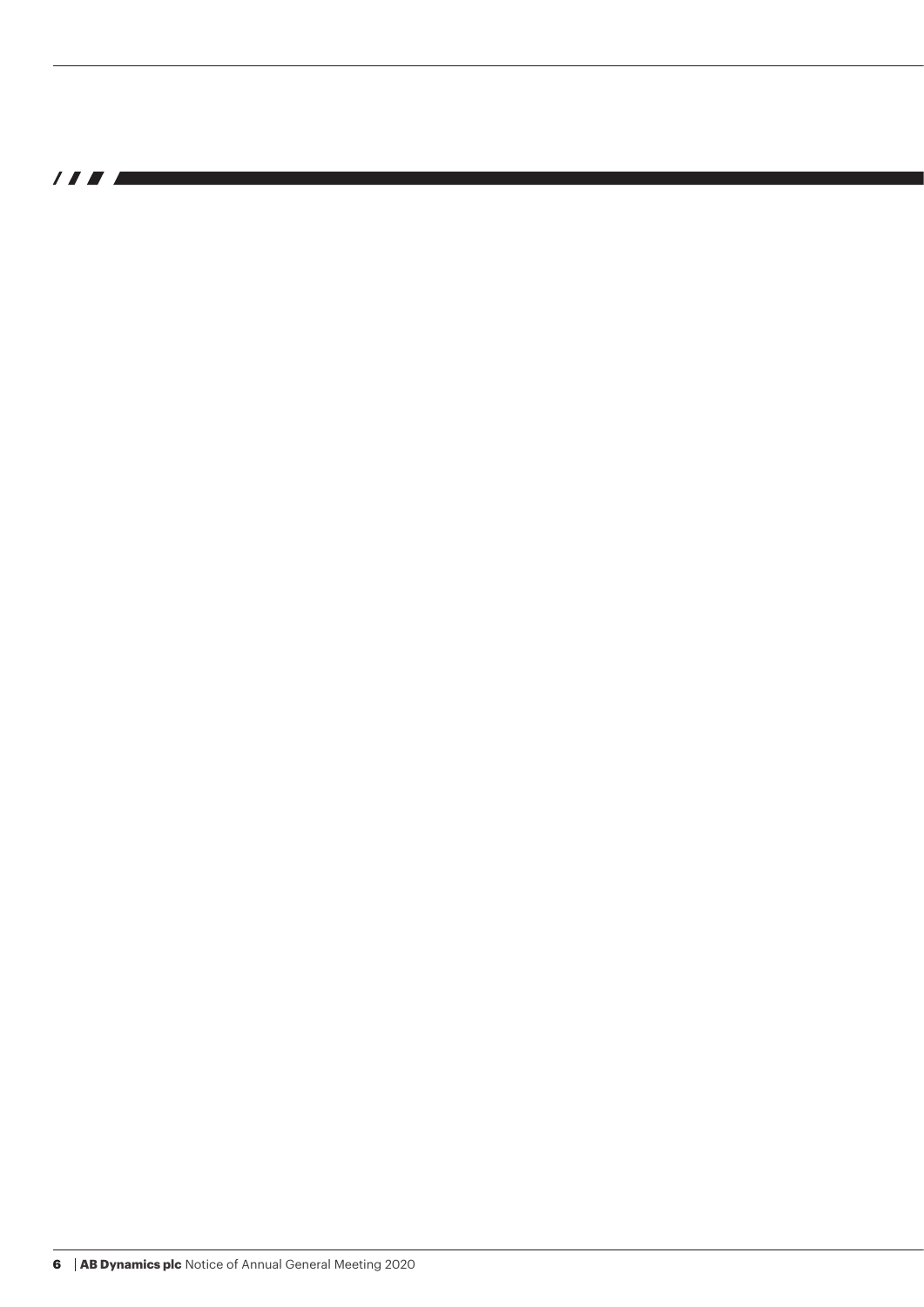**6** | **AB Dynamics plc** Notice of Annual General Meeting 2020

 $\sqrt{I}$   $I$   $I$